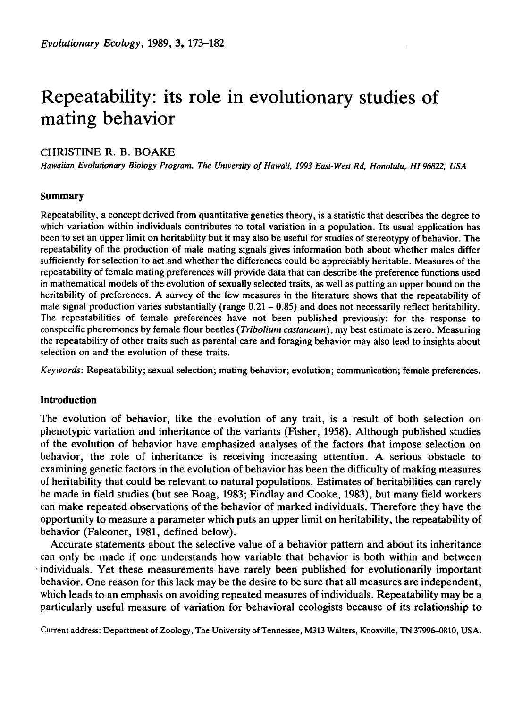# **Repeatability: its role in evolutionary studies of mating behavior**

# CHRISTINE R. B. BOAKE

*Hawaiian Evolutionary Biology Program, The University of Hawaii, 1993 East-West Rd, Honolulu, HI 96822, USA* 

#### **Summary**

Repeatability, a concept derived from quantitative genetics theory, is a statistic that describes the degree to which variation within individuals contributes to total variation in a population. Its usual application has been to set an upper limit on heritability but it may also be useful for studies of stereotypy of behavior. The repeatability of the production of male mating signals gives information both about whether males differ sufficiently for selection to act and whether the differences could be appreciably heritable. Measures of the repeatability of female mating preferences will provide data that can describe the preference functions used in mathematical models of the evolution of sexually selected traits, as well as putting an upper bound on the heritability of preferences. A survey of the few measures in the literature shows that the repeatability of male signal production varies substantially (range  $0.21 - 0.85$ ) and does not necessarily reflect heritability. The repeatabilities of female preferences have not been published previously: for the response to conspecific pheromones by female flour beetles *(Tribolium castaneum),* my best estimate is zero. Measuring the repeatability of other traits such as parental care and foraging behavior may also lead to insights about selection on and the evolution of these traits.

*Keywords:* Repeatability; sexual selection; mating behavior; evolution; communication; female preferences.

#### **Introduction**

The evolution of behavior, like the evolution of any trait, is a result of both selection on phenotypic variation and inheritance of the variants (Fisher, 1958). Although published studies of the evolution of behavior have emphasized analyses of the factors that impose selection on behavior, the role of inheritance is receiving increasing attention. A serious obstacle to examining genetic factors in the evolution of behavior has been the difficulty of making measures of heritability that could be relevant to natural populations. Estimates of heritabilities can rarely be made in field studies (but see Boag, 1983; Findlay and Cooke, 1983), but many field workers can make repeated observations of the behavior of marked individuals. Therefore they have the opportunity to measure a parameter which puts an upper limit on heritability, the repeatability of behavior (Falconer, 1981, defined below).

Accurate statements about the selective value of a behavior pattern and about its inheritance can only be made if one understands how variable that behavior is both within and between 9 individuals. Yet these measurements have rarely been published for evolutionarily important behavior. One reason for this lack may be the desire to be sure that all measures are independent, which leads to an emphasis on avoiding repeated measures of individuals. Repeatability may be a particularly useful measure of variation for behavioral ecologists because of its relationship to

Current address: Department of Zoology, The University of Tennessee, M313 Walters, Knoxville, TN 37996-0810, USA.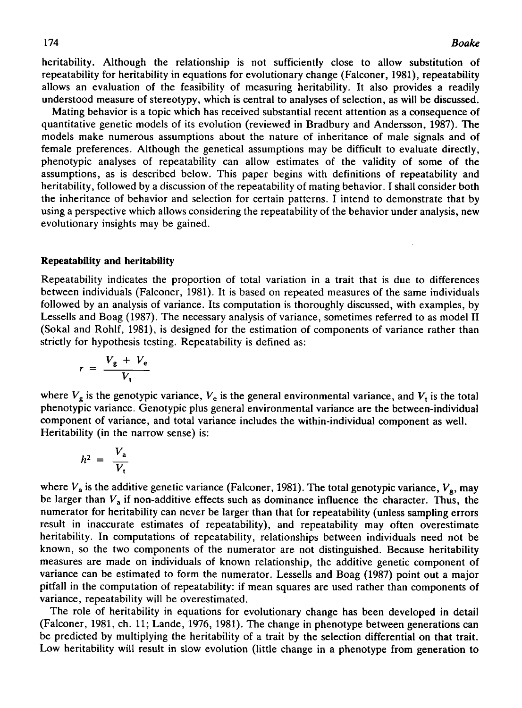heritability. Although the relationship is not sufficiently close to allow substitution of repeatability for heritability in equations for evolutionary change (Falconer, 1981), repeatability allows an evaluation of the feasibility of measuring heritability. It also provides a readily understood measure of stereotypy, which is central to analyses of selection, as will be discussed.

Mating behavior is a topic which has received substantial recent attention as a consequence of quantitative genetic models of its evolution (reviewed in Bradbury and Andersson, 1987). The models make numerous assumptions about the nature of inheritance of male signals and of female preferences. Although the genetical assumptions may be difficult to evaluate directly, phenotypic analyses of repeatability can allow estimates of the validity of some of the assumptions, as is described below. This paper begins with definitions of repeatability and heritability, followed by a discussion of the repeatability of mating behavior. I shall consider both the inheritance of behavior and selection for certain patterns. I intend to demonstrate that by using a perspective which allows considering the repeatability of the behavior under analysis, new evolutionary insights may be gained.

#### **Repeatability and heritability**

Repeatability indicates the proportion of total variation in a trait that is due to differences between individuals (Falconer, 1981). It is based on repeated measures of the same individuals followed by an analysis of variance. Its computation is thoroughly discussed, with examples, by Lessells and Boag (1987). The necessary analysis of variance, sometimes referred to as model II (Sokal and Rohlf, 1981), is designed for the estimation of components of variance rather than strictly for hypothesis testing. Repeatability is defined as:

$$
r = \frac{V_{\rm g} + V_{\rm e}}{V_{\rm t}}
$$

where  $V_g$  is the genotypic variance,  $V_e$  is the general environmental variance, and  $V_t$  is the total phenotypic variance. Genotypic plus general environmental variance are the between-individual component of variance, and total variance includes the within-individual component as well. Heritability (in the narrow sense) is:

$$
h^2 = \frac{V_a}{V_t}
$$

where  $V_a$  is the additive genetic variance (Falconer, 1981). The total genotypic variance,  $V_g$ , may be larger than  $V_a$  if non-additive effects such as dominance influence the character. Thus, the numerator for heritability can never be larger than that for repeatability (unless sampling errors result in inaccurate estimates of repeatability), and repeatability may often overestimate heritability. In computations of repeatability, relationships between individuals need not be known, so the two components of the numerator are not distinguished. Because heritability measures are made on individuals of known relationship, the additive genetic component of variance can be estimated to form the numerator. Lessells and Boag (1987) point out a major pitfall in the computation of repeatability: if mean squares are used rather than components of variance, repeatability will be overestimated.

The role of heritability in equations for evolutionary change has been developed in detail (Falconer, 1981, ch. 11; Lande, 1976, 1981). The change in phenotype between generations can be predicted by multiplying the heritability of a trait by the selection differential on that trait. Low heritability will result in slow evolution (little change in a phenotype from generation to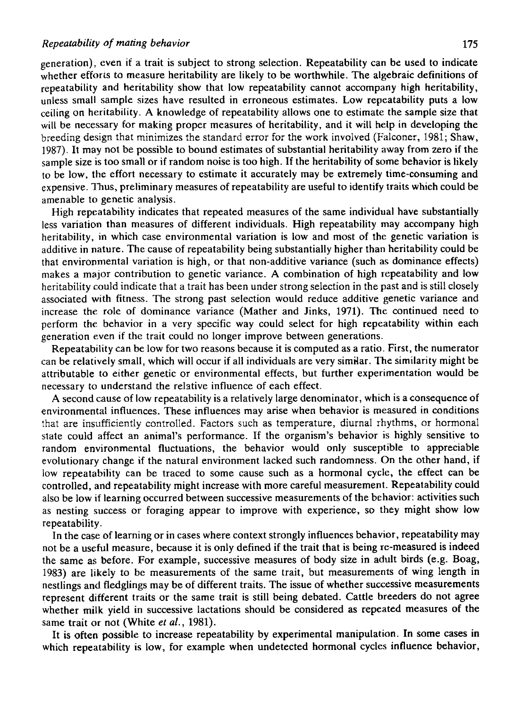generation), even if a trait is subject to strong selection. Repeatability can be used to indicate whether efforts to measure heritability are likely to be worthwhile. The algebraic definitions of repeatability and heritability show that low repeatability cannot accompany high heritability, unless small sample sizes have resulted in erroneous estimates. Low repeatability puts a low ceiling on heritability. A knowledge of repeatability allows one to estimate the sample size that will be necessary for making proper measures of heritability, and it will help in developing the breeding design that minimizes the standard error for the work involved (Falconer, 1981; Shaw, 1987). It may not be possible to bound estimates of substantial heritability away from zero if the sample size is too small or if random noise is too high. If the heritability of some behavior is likely to be low, the effort necessary to estimate it accurately may be extremely time-consuming and expensive. Thus, preliminary measures of repeatability are useful to identify traits which could be amenable to genetic analysis.

High repeatability indicates that repeated measures of the same individual have substantially less variation than measures of different individuals. High repeatability may accompany high heritability, in which case environmental variation is low and most of the genetic variation is additive in nature. The cause of repeatability being substantially higher than heritability could be that environmental variation is high, or that non-additive variance (such as dominance effects) makes a major contribution to genetic variance. A combination of high repeatability and low heritability could indicate that a trait has been under strong selection in the past and is still closely associated with fitness. The strong past selection would reduce additive genetic variance and increase the role of dominance variance (Mather and Jinks, 1971). The continued need to perform the behavior in a very specific way could select for high repeatability within each generation even if the trait could no longer improve between generations.

Repeatability can be low for two reasons because it is computed as a ratio. First, the numerator can be relatively small, which will occur if all individuals are very similar. The similarity might be attributable to either genetic or environmental effects, but further experimentation would be necessary to understand the relative influence of each effect.

A second cause of low repeatability is a relatively large denominator, which is a consequence of environmental influences. These influences may arise when behavior is measured in conditions that are insufficiently controlled. Factors such as temperature, diurnal rhythms, or hormonal slate could affect an animal's performance. If the organism's behavior is highly sensitive to random environmental fluctuations, the behavior would only susceptible to appreciable evolutionary change if the natural environment lacked such randomness. On the other hand, if low repeatability can be traced to some cause such as a hormonal cycle, the effect can be controlled, and repeatability might increase with more careful measurement. Repeatability could also be low if learning occurred between successive measurements of the behavior: activities such as nesting success or foraging appear to improve with experience, so they might show low repeatability.

In the case of learning or in cases where context strongly influences behavior, repeatability may not be a useful measure, because it is only defined if the trait that is being re-measured is indeed the same as before. For example, successive measures of body size in adult birds (e.g. Boag, I983) are likely to be measurements of the same trait, but measurements of wing length in nestlings and fledglings may be of different traits. The issue of whether successive measurements represent different traits or the same trait is still being debated. Cattle breeders do not agree whether milk yield in successive lactations should be considered as repeated measures of the same trait or not (White *et al.,* 1981).

It is often possible to increase repeatability by experimental manipulation. In some cases in which repeatability is low, for example when undetected hormonal cycles influence behavior,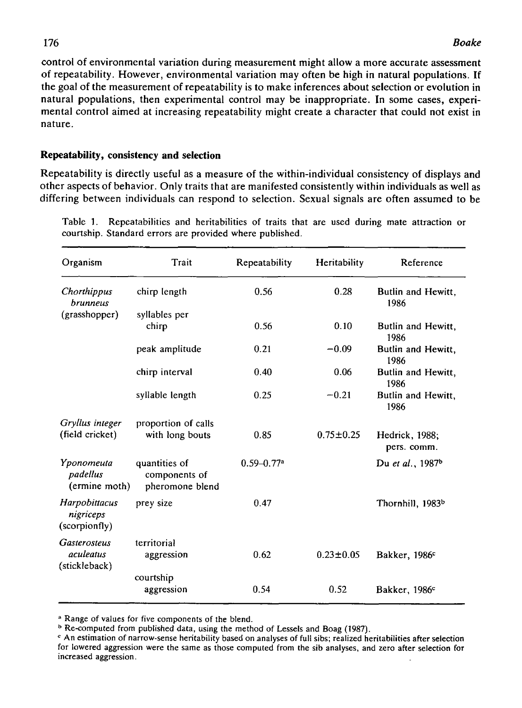control of environmental variation during measurement might allow a more accurate assessment of repeatability. However, environmental variation may often be high in natural populations. If the goal of the measurement of repeatability is to make inferences about selection or evolution in natural populations, then experimental control may be inappropriate. In some cases, experimental control aimed at increasing repeatability might create a character that could not exist in nature.

# **Repeatability, consistency and selection**

Repeatability is directly useful as a measure of the within-individual consistency of displays and other aspects of behavior. Only traits that are manifested consistently within individuals as well as differing between individuals can respond to selection. Sexual signals are often assumed to be

| Organism                                          | Trait                                             | Repeatability              | Heritability    | Reference                            |
|---------------------------------------------------|---------------------------------------------------|----------------------------|-----------------|--------------------------------------|
| Chorthippus<br>brunneus                           | chirp length                                      | 0.56                       | 0.28            | Butlin and Hewitt,<br>1986           |
| (grasshopper)                                     | syllables per<br>chirp                            | 0.56                       | 0.10            | Butlin and Hewitt,<br>1986           |
|                                                   | peak amplitude                                    | 0.21                       | $-0.09$         | Butlin and Hewitt,<br>1986           |
|                                                   | chirp interval                                    | 0.40                       | 0.06            | Butlin and Hewitt,<br>1986           |
|                                                   | syllable length                                   | 0.25                       | $-0.21$         | Butlin and Hewitt,<br>1986           |
| Gryllus integer<br>(field cricket)                | proportion of calls<br>with long bouts            | 0.85                       | $0.75 \pm 0.25$ | <b>Hedrick, 1988;</b><br>pers. comm. |
| Yponomeuta<br>padellus<br>(ermine moth)           | quantities of<br>components of<br>pheromone blend | $0.59 - 0.77$ <sup>a</sup> |                 | Du et al., 1987 <sup>b</sup>         |
| Harpobittacus<br>nigriceps<br>(scorpionfly)       | prey size                                         | 0.47                       |                 | Thornhill, 1983b                     |
| <b>Gasterosteus</b><br>aculeatus<br>(stickleback) | territorial<br>aggression                         | 0.62                       | $0.23 \pm 0.05$ | Bakker, 1986 <sup>c</sup>            |
|                                                   | courtship<br>aggression                           | 0.54                       | 0.52            | Bakker, 1986 <sup>c</sup>            |

Table 1. Repeatabilities and heritabilities of traits that are used during mate attraction or courtship. Standard errors are provided where published.

<sup>a</sup> Range of values for five components of the blend.

b Re-computed from published data, using the method of Lessels and Boag (1987).

r An estimation of narrow-sense heritability based on analyses of full sibs; realized heritabilities after selection for lowered aggression were the same as those computed from the sib analyses, and zero after selection for increased aggression.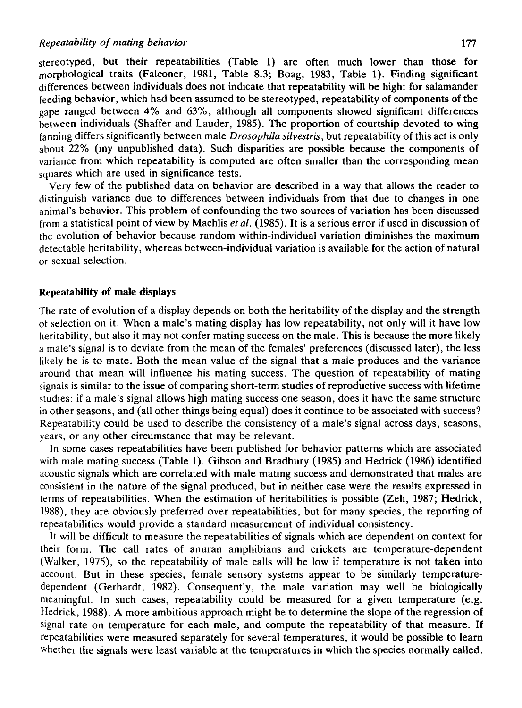# *Repeatability of mating behavior* 177

stereotyped, but their repeatabilities (Table 1) are often much lower than those for morphological traits (Falconer, 1981, Table 8.3; Boag, 1983, Table 1). Finding significant differences between individuals does not indicate that repeatability will be high: for salamander feeding behavior, which had been assumed to be stereotyped, repeatability of components of the gape ranged between 4% and 63%, although all components showed significant differences between individuals (Shaffer and Lauder, 1985). The proportion of courtship devoted to wing fanning differs significantly between male *Drosophila silvestris,* but repeatability of this act is only about 22% (my unpublished data). Such disparities are possible because the components of variance from which repeatability is computed are often smaller than the corresponding mean squares which are used in significance tests.

Very few of the published data on behavior are described in a way that allows the reader to distinguish variance due to differences between individuals from that due to changes in one animal's behavior. This problem of confounding the two sources of variation has been discussed from a statistical point of view by Machlis *et al.* (1985). It is a serious error if used in discussion of the evolution of behavior because random within-individual variation diminishes the maximum detectable heritability, whereas between-individual variation is available for the action of natural or sexual selection.

#### **Repeatability of male displays**

The rate of evolution of a display depends on both the heritability of the display and the strength of selection on it. When a male's mating display has low repeatability, not only will it have low heritability, but also it may not confer mating success on the male. This is because the more likely a male's signal is to deviate from the mean of the females' preferences (discussed later), the less likely he is to mate. Both the mean value of the signal that a male produces and the variance around that mean will influence his mating success. The question of repeatability of mating signals is similar to the issue of comparing short-term studies of reproductive success with lifetime studies: if a male's signal allows high mating success one season, does it have the same structure in other seasons, and (all other things being equal) does it continue to be associated with success? Repeatability could be used to describe the consistency of a male's signal across days, seasons, years, or any other circumstance that may be relevant.

In some cases repeatabilities have been published for behavior patterns which are associated with male mating success (Table 1). Gibson and Bradbury (1985) and Hedrick (1986) identified acoustic signals which are correlated with male mating success and demonstrated that males are consistent in the nature of the signal produced, but in neither case were the results expressed in terms of repeatabilities. When the estimation of heritabilities is possible (Zeh, 1987; Hedrick, 1988), they are obviously preferred over repeatabilities, but for many species, the reporting of repeatabilities would provide a standard measurement of individual consistency.

It will be difficult to measure the repeatabilities of signals which are dependent on context for their form. The call rates of anuran amphibians and crickets are temperature-dependent (Walker, 1975), so the repeatability of male calls will be low if temperature is not taken into account. But in these species, female sensory systems appear to be similarly temperaturedependent (Gerhardt, 1982). Consequently, the male variation may well be biologically meaningful. In such cases, repeatability could be measured for a given temperature (e.g. Hedrick, 1988). A more ambitious approach might be to determine the slope of the regression of signal rate on temperature for each male, and compute the repeatability of that measure. If repeatabilities were measured separately for several temperatures, it would be possible to learn whether the signals were least variable at the temperatures in which the species normally called.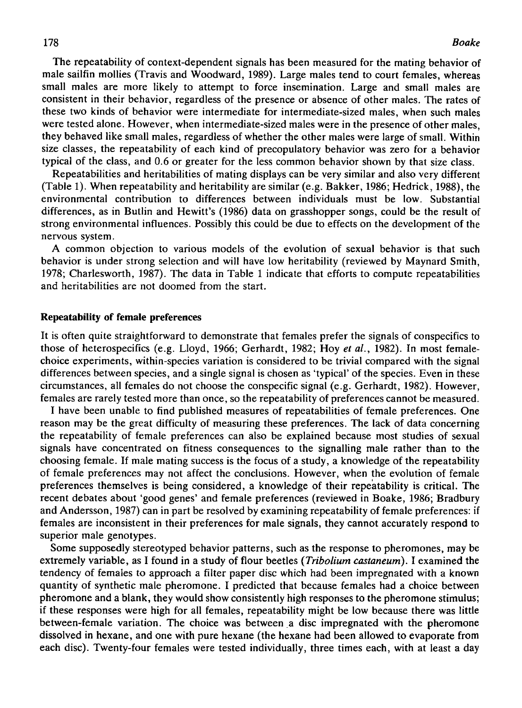The repeatability of context-dependent signals has been measured for the mating behavior of male sailfin mollies (Travis and Woodward, 1989). Large males tend to court females, whereas small males are more likely to attempt to force insemination. Large and small males are consistent in their behavior, regardless of the presence or absence of other males. The rates of these two kinds of behavior were intermediate for intermediate-sized males, when such males were tested alone. However, when intermediate-sized males were in the presence of other males, they behaved like small males, regardless of whether the other males were large of small. Within size classes, the repeatability of each kind of precopulatory behavior was zero for a behavior typical of the class, and 0.6 or greater for the less common behavior shown by that size class.

Repeatabilities and heritabilities of mating displays can be very similar and also very different (Table 1). When repeatability and heritability are similar (e.g. Bakker, 1986; Hedrick, 1988), the environmental contribution to differences between individuals must be low. Substantial differences, as in Butlin and Hewitt's (1986) data on grasshopper songs, could be the result of strong environmental influences. Possibly this could be due to effects on the development of the nervous system.

A common objection to various models of the evolution of sexual behavior is that such behavior is under strong selection and will have low heritability (reviewed by Maynard Smith, 1978; Charlesworth, 1987). The data in Table 1 indicate that efforts to compute repeatabilities and heritabilities are not doomed from the start.

## **Repeatability of female preferences**

It is often quite straightforward to demonstrate that females prefer the signals of conspecifics to those of heterospecifics (e.g. Lloyd, 1966; Gerhardt, 1982; Hoy *et al.,* 1982). In most femalechoice experiments, within-species variation is considered to be trivial compared with the signal differences between species, and a single signal is chosen as 'typical' of the species. Even in these circumstances, all females do not choose the conspecific signal (e.g. Gerhardt, 1982). However, females are rarely tested more than once, so the repeatability of preferences cannot be measured.

I have been unable to find published measures of repeatabilities of female preferences. One reason may be the great difficulty of measuring these preferences. The lack of data concerning the repeatability of female preferences can also be explained because most studies of sexual signals have concentrated on fitness consequences to the signalling male rather than to the choosing female. If male mating success is the focus of a study, a knowledge of the repeatability of female preferences may not affect the conclusions. However, when the evolution of female preferences themselves is being considered, a knowledge of their repeatability is critical. The recent debates about 'good genes' and female preferences (reviewed in Boake, 1986; Bradbury and Andersson, 1987) can in part be resolved by examining repeatability of female preferences: if females are inconsistent in their preferences for male signals, they cannot accurately respond to superior male genotypes.

Some supposedly stereotyped behavior patterns, such as the response to pheromones, may be extremely variable, as I found in a study of flour beetles *(Tribolium castaneum).* I examined the tendency of females to approach a filter paper disc which had been impregnated with a known quantity of synthetic male pheromone. I predicted that because females had a choice between pheromone and a blank, they would show consistently high responses to the pheromone stimulus; if these responses were high for all females, repeatability might be low because there was little between-female variation. The choice was between a disc impregnated with the pheromone dissolved in hexane, and one with pure hexane (the hexane had been allowed to evaporate from each disc). Twenty-four females were tested individually, three times each, with at least a day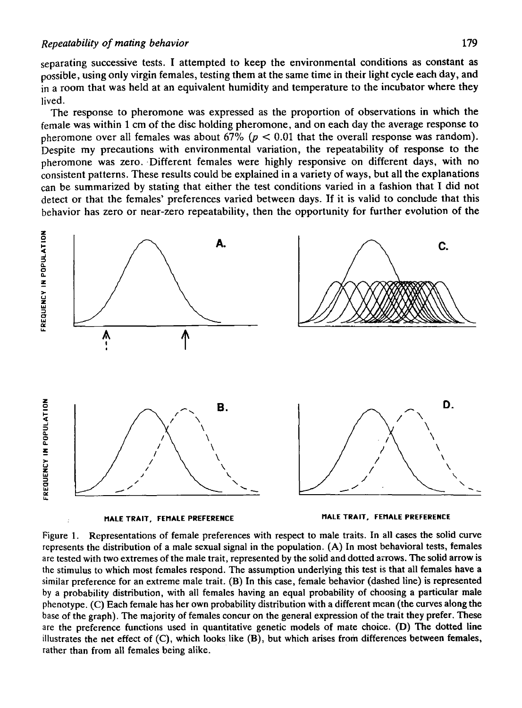# *Repeatability of mating behavior* 179

separating successive tests. I attempted to keep the environmental conditions as constant as possible, using only virgin females, testing them at the same time in their light cycle each day, and in a room that was held at an equivalent humidity and temperature to the incubator where they lived.

The response to pheromone was expressed as the proportion of observations in which the female was within 1 cm of the disc holding pheromone, and on each day the average response to pheromone over all females was about 67% ( $p < 0.01$  that the overall response was random). Despite my precautions with environmental variation, the repeatability of response to the pheromone was zero.-Different females were highly responsive on different days, with no consistent patterns. These results could be explained in a variety of ways, but all the explanations can be summarized by stating that either the test conditions varied in a fashion that I did not detect or that the females' preferences varied between days. If it is valid to conclude that this behavior has zero or near-zero repeatability, then the opportunity for further evolution of the



**,. MALE TRAIT, FEMALE PREFERENCE MALE TRAIT, FEMALE PREFERENCE** 

Figure 1. Representations of female preferences with respect to male traits. In all cases the solid curve represents the distribution of a male sexual signal in the population. (A) In most behavioral tests, females are tested with two extremes of the male trait, represented by the solid and dotted arrows. The solid arrow is the stimulus to which most females respond. The assumption underlying this test is that all females have a similar preference for an extreme male trait. (B) In this case, female behavior (dashed line) is represented by a probability distribution, with all females having an equal probability of choosing a particular male phenotype. (C) Each female has her own probability distribution with a different mean (the curves along the base of the graph). The majority of females concur on the general expression of the trait they prefer. These are the preference functions used in quantitative genetic models of mate choice. (D) The dotted line illustrates the net effect of  $(C)$ , which looks like  $(B)$ , but which arises from differences between females, rather than from all females being alike.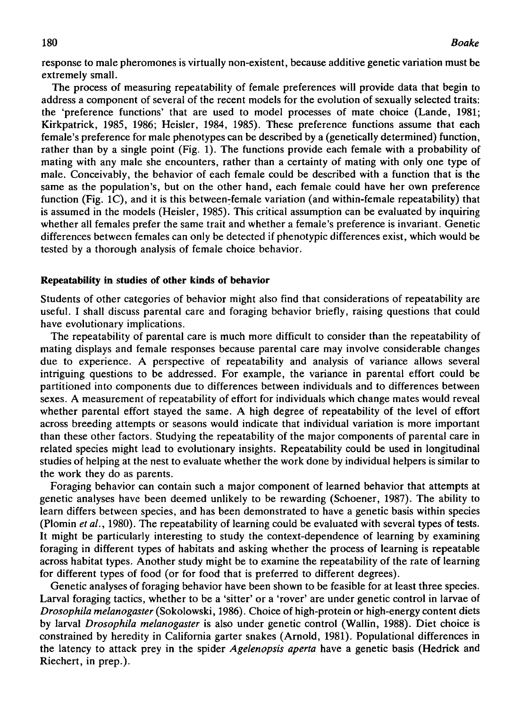response to male pheromones is virtually non-existent, because additive genetic variation must be extremely small.

The process of measuring repeatability of female preferences will provide data that begin to address a component of several of the recent models for the evolution of sexually selected traits: the 'preference functions' that are used to model processes of mate choice (Lande, 1981; Kirkpatrick, 1985, 1986; Heisler, 1984, 1985). These preference functions assume that each female's preference for male phenotypes can be described by a (genetically determined) function, rather than by a single point (Fig. 1). The functions provide each female with a probability of mating with any male she encounters, rather than a certainty of mating with only one type of male. Conceivably, the behavior of each female could be described with a function that is the same as the population's, but on the other hand, each female could have her own preference function (Fig. 1C), and it is this between-female variation (and within-female repeatability) that is assumed in the models (Heisler, 1985). This critical assumption can be evaluated by inquiring whether all females prefer the same trait and whether a female's preference is invariant. Genetic differences between females can only be detected if phenotypic differences exist, which would be tested by a thorough analysis of female choice behavior.

# **Repeatability in studies of other kinds of behavior**

Students of other categories of behavior might also find that considerations of repeatability are useful. I shall discuss parental care and foraging behavior briefly, raising questions that could have evolutionary implications.

The repeatability of parental care is much more difficult to consider than the repeatability of mating displays and female responses because parental care may involve considerable changes due to experience. A perspective of repeatability and analysis of variance allows several intriguing questions to be addressed. For example, the variance in parental effort could be partitioned into components due to differences between individuals and to differences between sexes. A measurement of repeatability of effort for individuals which change mates would reveal whether parental effort stayed the same. A high degree of repeatability of the level of effort across breeding attempts or seasons would indicate that individual variation is more important than these other factors. Studying the repeatability of the major components of parental care in related species might lead to evolutionary insights. Repeatability could be used in longitudinal studies of helping at the nest to evaluate whether the work done by individual helpers is similar to the work they do as parents.

Foraging behavior can contain such a major component of learned behavior that attempts at genetic analyses have been deemed unlikely to be rewarding (Schoener, 1987). The ability to learn differs between species, and has been demonstrated to have a genetic basis within species (Plomin *et al.,* 1980). The repeatability of learning could be evaluated with several types of tests. It might be particularly interesting to study the context-dependence of learning by examining foraging in different types of habitats and asking whether the process of learning is repeatable across habitat types. Another study might be to examine the repeatability of the rate of learning for different types of food (or for food that is preferred to different degrees).

Genetic analyses of foraging behavior have been shown to be feasible for at least three species. Larval foraging tactics, whether to be a 'sitter' or a 'rover' are under genetic control in larvae of *Drosophila melanogaster* (Sokolowski, 1986). Choice of high-protein or high-energy content diets by larval *Drosophila melanogaster* is also under genetic control (Wallin, 1988). Diet choice is constrained by heredity in California garter snakes (Arnold, 1981). Populational differences in the latency to attack prey in the spider *Agelenopsis aperta* have a genetic basis (Hedrick and Riechert, in prep.).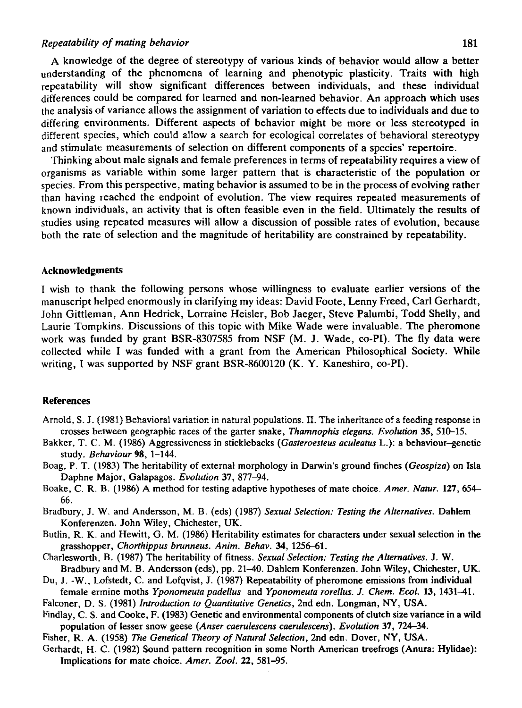## *Repeatability of mating behavior* 181

A knowledge of the degree of stereotypy of various kinds of behavior would allow a better understanding of the phenomena of learning and phenotypic plasticity. Traits with high repeatability will show significant differences between individuals, and these individual differences could be compared for learned and non-learned behavior. An approach which uses the analysis of variance allows the assignment of variation to effects due to individuals and due to differing environments. Different aspects of behavior might be more or less stereotyped in different species, which could allow a search for ecological correlates of behavioral stereotypy and stimulate measurements of selection on different components of a species' repertoire.

Thinking about male signals and female preferences in terms of repeatability requires a view of organisms as variable within some larger pattern that is characteristic of the population or species. From this perspective, mating behavior is assumed to be in the process of evolving rather than having reached the endpoint of evolution. The view requires repeated measurements of known individuals, an activity that is often feasible even in the field. Ultimately the results of studies using repeated measures will allow a discussion of possible rates of evolution, because both the rate of selection and the magnitude of heritability are constrained by repeatability.

#### **Acknowledgments**

I wish to thank the following persons whose willingness to evaluate earlier versions of the manuscript helped enormously in clarifying my ideas: David Foote, Lenny Freed, Carl Gerhardt, John Gittleman, Ann Hedrick, Lorraine Heisler, Bob Jaeger, Steve Palumbi, Todd Shelly, and Laurie Tompkins. Discussions of this topic with Mike Wade were invaluable. The pheromone work was funded by grant BSR-8307585 from NSF (M. J. Wade, co-PI). The fly data were collected while I was funded with a grant from the American Philosophical Society. While writing, I was supported by NSF grant BSR-8600120 (K. Y. Kaneshiro, co-PI).

#### **References**

- Arnold, S. J. (1981) Behavioral variation in natural populations. II. The inheritance of a feeding response in crosses between geographic races of the garter snake, *Thamnophis elegans. Evolution* 35, 510--15.
- Bakker, T. C. M. (1986) Aggressiveness in sticklebacks *(Gasteroesteus aculeatus* L.): a behaviour-genetic study. *Behaviour* 98, 1-144.
- Boag, P. T. (1983) The heritability of external morphology in Darwin's ground finches *(Geospiza)* on lsla Daphne Major, Galapagos. *Evolution* 37, 877-94.
- Boake, C. R. B. (1986) A method for testing adaptive hypotheses of mate choice. *Amer. Natur.* 127,654- 66.
- Bradbury, J. W. and Andersson, M. B. (eds) (1987) *Sexual Selection: Testing the Alternatives.* Dahlem Konferenzen. John Wiley, Chichester, UK.
- Butlin, R. K. and Hewitt, G. M. (1986) Heritability estimates for characters under sexual selection in the grasshopper, *Chorthippus brunneus. Anim. Behav.* 34, 1256-61.
- Charlesworth, B. (1987) The heritability of fitness. *Sexual Selection: Testing the Alternatives. J. W.*  Bradbury and M. B. Andersson (eds), pp. 21-40. Dahlem Konferenzen. John Wiley, Chichester, UK.
- Du, J. -W., Lofstedt, C. and Lofqvist, J. (1987) Repeatability of pheromone emissions from individual female ermine moths *Yponomeuta padellus* and *Yponomeuta rorellus. J. Chem. Ecol.* 13, 1431-41.

Falconer, D. S. (1981) *Introduction to Quantitative Genetics,* 2nd edn. Longman, NY, USA.

- Findlay, C. S. and Cooke, F. (1983) Genetic and environmental components of clutch size variance in a wild population of lesser snow geese *(Anser caerulescens caerulescens). Evolution* 37, 724-34.
- Fisher, R. A. (1958) *The Genetical Theory of Natural Selection,* 2nd edn. Dover, NY, USA.
- Gerhardt, H. C. (1982) Sound pattern recognition in some North American treefrogs (Anura: Hylidae): Implications for mate choice. *Amer. Zool.* 22, 581-95.